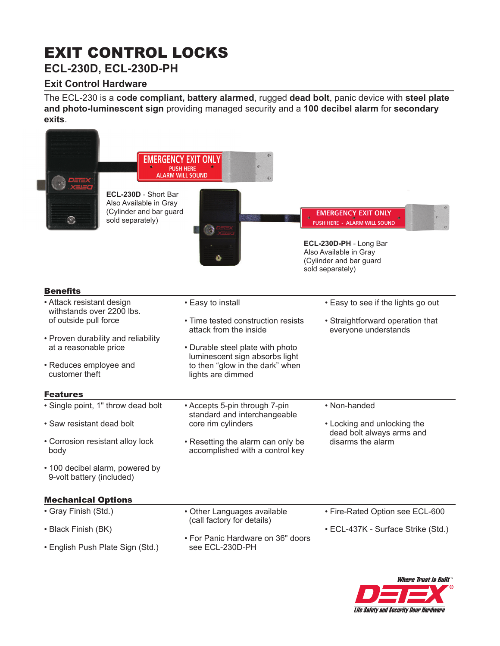# EXIT CONTROL LOCKS

## **ECL-230D, ECL-230D-PH**

### **Exit Control Hardware**

The ECL-230 is a **code compliant, battery alarmed**, rugged **dead bolt**, panic device with **steel plate and photo-luminescent sign** providing managed security and a **100 decibel alarm** for **secondary exits**.